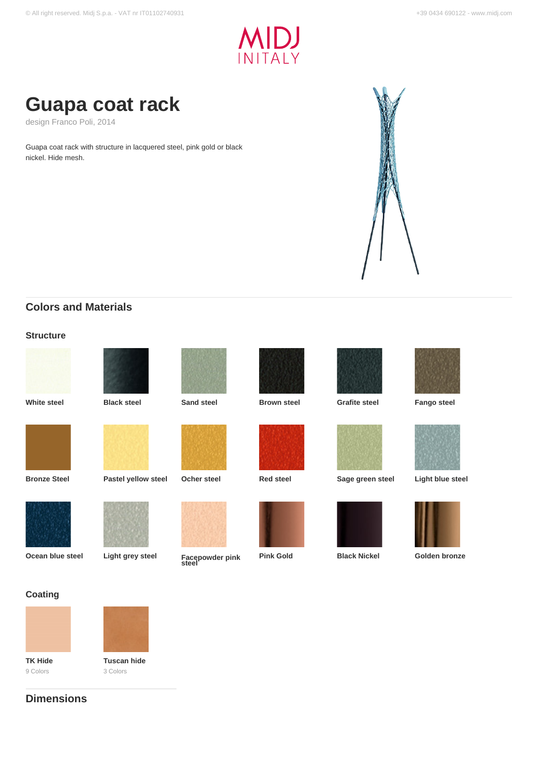



design Franco Poli, 2014

Guapa coat rack with structure in lacquered steel, pink gold or black nickel. Hide mesh.



# **Colors and Materials**

### **Structure**





**White steel Black steel Sand steel Brown steel Grafite steel Fango steel**































**Pink Gold Black Nickel <b>Golden bronze** 

### **Coating**



9 Colors



3 Colors

# **Dimensions**



**Ocean blue steel Light grey steel Facepowder pink steel**